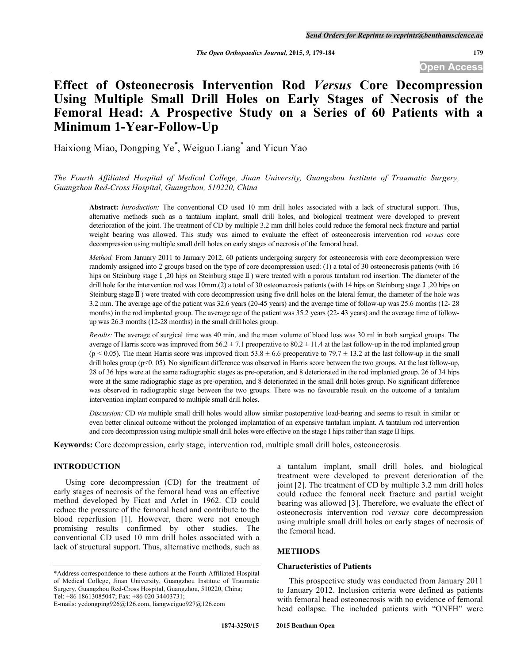**Open Access**

# **Effect of Osteonecrosis Intervention Rod** *Versus* **Core Decompression Using Multiple Small Drill Holes on Early Stages of Necrosis of the Femoral Head: A Prospective Study on a Series of 60 Patients with a Minimum 1-Year-Follow-Up**

Haixiong Miao, Dongping Ye\* , Weiguo Liang\* and Yicun Yao

*The Fourth Affiliated Hospital of Medical College, Jinan University, Guangzhou Institute of Traumatic Surgery, Guangzhou Red-Cross Hospital, Guangzhou, 510220, China*

**Abstract:** *Introduction:* The conventional CD used 10 mm drill holes associated with a lack of structural support. Thus, alternative methods such as a tantalum implant, small drill holes, and biological treatment were developed to prevent deterioration of the joint. The treatment of CD by multiple 3.2 mm drill holes could reduce the femoral neck fracture and partial weight bearing was allowed. This study was aimed to evaluate the effect of osteonecrosis intervention rod *versus* core decompression using multiple small drill holes on early stages of necrosis of the femoral head.

*Method:* From January 2011 to January 2012, 60 patients undergoing surgery for osteonecrosis with core decompression were randomly assigned into 2 groups based on the type of core decompression used: (1) a total of 30 osteonecrosis patients (with 16 hips on Steinburg stageⅠ,20 hips on Steinburg stageⅡ) were treated with a porous tantalum rod insertion. The diameter of the drill hole for the intervention rod was 10mm.(2) a total of 30 osteonecrosis patients (with 14 hips on Steinburg stage I, 20 hips on Steinburg stageⅡ) were treated with core decompression using five drill holes on the lateral femur, the diameter of the hole was 3.2 mm. The average age of the patient was 32.6 years (20-45 years) and the average time of follow-up was 25.6 months (12- 28 months) in the rod implanted group. The average age of the patient was 35.2 years (22-43 years) and the average time of followup was 26.3 months (12-28 months) in the small drill holes group.

*Results:* The average of surgical time was 40 min, and the mean volume of blood loss was 30 ml in both surgical groups. The average of Harris score was improved from  $56.2 \pm 7.1$  preoperative to  $80.2 \pm 11.4$  at the last follow-up in the rod implanted group  $(p < 0.05)$ . The mean Harris score was improved from 53.8  $\pm$  6.6 preoperative to 79.7  $\pm$  13.2 at the last follow-up in the small drill holes group (p<0. 05). No significant difference was observed in Harris score between the two groups. At the last follow-up, 28 of 36 hips were at the same radiographic stages as pre-operation, and 8 deteriorated in the rod implanted group. 26 of 34 hips were at the same radiographic stage as pre-operation, and 8 deteriorated in the small drill holes group. No significant difference was observed in radiographic stage between the two groups. There was no favourable result on the outcome of a tantalum intervention implant compared to multiple small drill holes.

*Discussion:* CD *via* multiple small drill holes would allow similar postoperative load-bearing and seems to result in similar or even better clinical outcome without the prolonged implantation of an expensive tantalum implant. A tantalum rod intervention and core decompression using multiple small drill holes were effective on the stage I hips rather than stage II hips.

**Keywords:** Core decompression, early stage, intervention rod, multiple small drill holes, osteonecrosis.

## **INTRODUCTION**

Using core decompression (CD) for the treatment of early stages of necrosis of the femoral head was an effective method developed by Ficat and Arlet in 1962. CD could reduce the pressure of the femoral head and contribute to the blood reperfusion [1]. However, there were not enough promising results confirmed by other studies. The conventional CD used 10 mm drill holes associated with a lack of structural support. Thus, alternative methods, such as

a tantalum implant, small drill holes, and biological treatment were developed to prevent deterioration of the joint [2]. The treatment of CD by multiple 3.2 mm drill holes could reduce the femoral neck fracture and partial weight bearing was allowed [3]. Therefore, we evaluate the effect of osteonecrosis intervention rod *versus* core decompression using multiple small drill holes on early stages of necrosis of the femoral head.

## **METHODS**

## **Characteristics of Patients**

This prospective study was conducted from January 2011 to January 2012. Inclusion criteria were defined as patients with femoral head osteonecrosis with no evidence of femoral head collapse. The included patients with "ONFH" were

<sup>\*</sup>Address correspondence to these authors at the Fourth Affiliated Hospital of Medical College, Jinan University, Guangzhou Institute of Traumatic Surgery, Guangzhou Red-Cross Hospital, Guangzhou, 510220, China; Tel: +86 18613085047; Fax: +86 020 34403731;

E-mails: yedongping926@126.com, liangweiguo927@126.com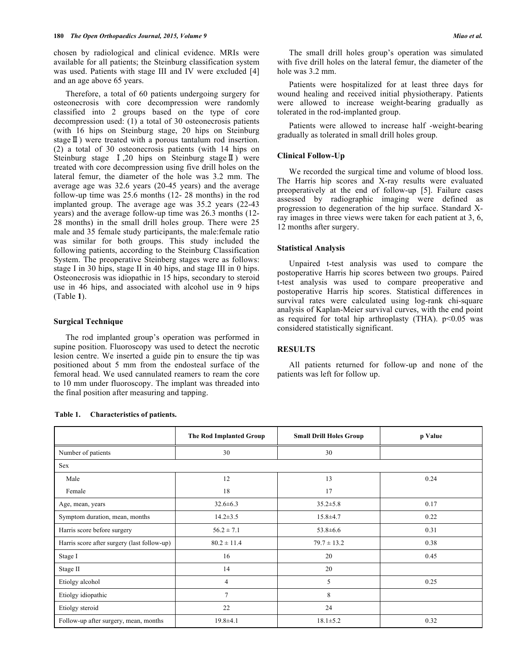chosen by radiological and clinical evidence. MRIs were available for all patients; the Steinburg classification system was used. Patients with stage III and IV were excluded [4] and an age above 65 years.

Therefore, a total of 60 patients undergoing surgery for osteonecrosis with core decompression were randomly classified into 2 groups based on the type of core decompression used: (1) a total of 30 osteonecrosis patients (with 16 hips on Steinburg stage, 20 hips on Steinburg stage  $\mathbb{I}$ ) were treated with a porous tantalum rod insertion. (2) a total of 30 osteonecrosis patients (with 14 hips on Steinburg stage Ⅰ,20 hips on Steinburg stageⅡ) were treated with core decompression using five drill holes on the lateral femur, the diameter of the hole was 3.2 mm. The average age was 32.6 years (20-45 years) and the average follow-up time was 25.6 months (12- 28 months) in the rod implanted group. The average age was 35.2 years (22-43 years) and the average follow-up time was 26.3 months (12- 28 months) in the small drill holes group. There were 25 male and 35 female study participants, the male:female ratio was similar for both groups. This study included the following patients, according to the Steinburg Classification System. The preoperative Steinberg stages were as follows: stage I in 30 hips, stage II in 40 hips, and stage III in 0 hips. Osteonecrosis was idiopathic in 15 hips, secondary to steroid use in 46 hips, and associated with alcohol use in 9 hips (Table **1**).

## **Surgical Technique**

The rod implanted group's operation was performed in supine position. Fluoroscopy was used to detect the necrotic lesion centre. We inserted a guide pin to ensure the tip was positioned about 5 mm from the endosteal surface of the femoral head. We used cannulated reamers to ream the core to 10 mm under fluoroscopy. The implant was threaded into the final position after measuring and tapping.

The small drill holes group's operation was simulated with five drill holes on the lateral femur, the diameter of the hole was 3.2 mm.

Patients were hospitalized for at least three days for wound healing and received initial physiotherapy. Patients were allowed to increase weight-bearing gradually as tolerated in the rod-implanted group.

Patients were allowed to increase half -weight-bearing gradually as tolerated in small drill holes group.

## **Clinical Follow-Up**

We recorded the surgical time and volume of blood loss. The Harris hip scores and X-ray results were evaluated preoperatively at the end of follow-up [5]. Failure cases assessed by radiographic imaging were defined as progression to degeneration of the hip surface. Standard Xray images in three views were taken for each patient at 3, 6, 12 months after surgery.

## **Statistical Analysis**

Unpaired t-test analysis was used to compare the postoperative Harris hip scores between two groups. Paired t-test analysis was used to compare preoperative and postoperative Harris hip scores. Statistical differences in survival rates were calculated using log-rank chi-square analysis of Kaplan-Meier survival curves, with the end point as required for total hip arthroplasty (THA).  $p<0.05$  was considered statistically significant.

## **RESULTS**

All patients returned for follow-up and none of the patients was left for follow up.

|                                             | The Rod Implanted Group | <b>Small Drill Holes Group</b> | p Value |  |  |  |  |  |
|---------------------------------------------|-------------------------|--------------------------------|---------|--|--|--|--|--|
| Number of patients                          | 30                      | 30                             |         |  |  |  |  |  |
| Sex                                         |                         |                                |         |  |  |  |  |  |
| Male                                        | 12                      | 13                             | 0.24    |  |  |  |  |  |
| Female                                      | 18                      | 17                             |         |  |  |  |  |  |
| Age, mean, years                            | $32.6 \pm 6.3$          | $35.2 \pm 5.8$                 | 0.17    |  |  |  |  |  |
| Symptom duration, mean, months              | $14.2 \pm 3.5$          | $15.8 + 4.7$                   | 0.22    |  |  |  |  |  |
| Harris score before surgery                 | $56.2 \pm 7.1$          | $53.8 \pm 6.6$                 | 0.31    |  |  |  |  |  |
| Harris score after surgery (last follow-up) | $80.2 \pm 11.4$         | $79.7 \pm 13.2$                | 0.38    |  |  |  |  |  |
| Stage I                                     | 16                      | 20                             | 0.45    |  |  |  |  |  |
| Stage II                                    | 14                      | 20                             |         |  |  |  |  |  |
| Etiolgy alcohol                             | $\overline{4}$          | 5                              | 0.25    |  |  |  |  |  |
| Etiolgy idiopathic                          | 7                       | 8                              |         |  |  |  |  |  |
| Etiolgy steroid                             | 22                      | 24                             |         |  |  |  |  |  |
| Follow-up after surgery, mean, months       | $19.8 + 4.1$            | $18.1 \pm 5.2$                 | 0.32    |  |  |  |  |  |

**Table 1. Characteristics of patients.**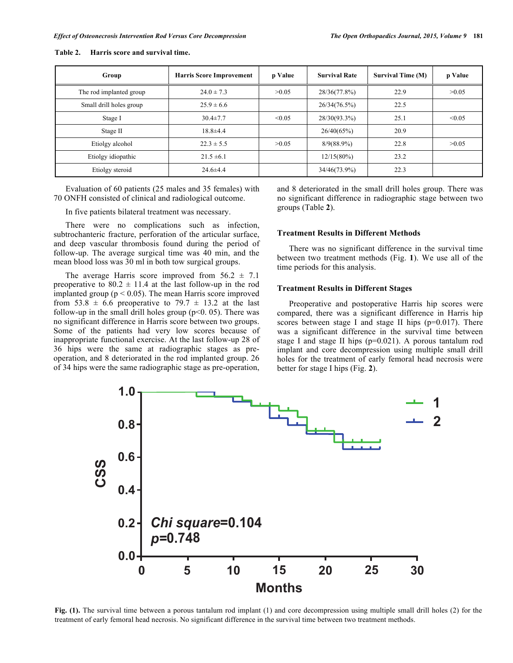| Group                   | <b>Harris Score Improvement</b> | p Value | <b>Survival Rate</b> | Survival Time (M) | p Value |
|-------------------------|---------------------------------|---------|----------------------|-------------------|---------|
| The rod implanted group | $24.0 \pm 7.3$                  | >0.05   | 28/36(77.8%)         | 22.9              | >0.05   |
| Small drill holes group | $25.9 \pm 6.6$                  |         | 26/34(76.5%)         | 22.5              |         |
| Stage I                 | $30.4 \pm 7.7$                  | < 0.05  | 28/30(93.3%)         | 25.1              | < 0.05  |
| Stage II                | $18.8 + 4.4$                    |         | 26/40(65%)           | 20.9              |         |
| Etiolgy alcohol         | $22.3 \pm 5.5$                  | >0.05   | $8/9(88.9\%)$        | 22.8              | >0.05   |
| Etiolgy idiopathic      | $21.5 \pm 6.1$                  |         | $12/15(80\%)$        | 23.2              |         |
| Etiolgy steroid         | $24.6 \pm 4.4$                  |         | 34/46(73.9%)         | 22.3              |         |

#### **Table 2. Harris score and survival time.**

Evaluation of 60 patients (25 males and 35 females) with 70 ONFH consisted of clinical and radiological outcome.

In five patients bilateral treatment was necessary.

There were no complications such as infection, subtrochanteric fracture, perforation of the articular surface, and deep vascular thrombosis found during the period of follow-up. The average surgical time was 40 min, and the mean blood loss was 30 ml in both tow surgical groups.

The average Harris score improved from  $56.2 \pm 7.1$ preoperative to  $80.2 \pm 11.4$  at the last follow-up in the rod implanted group ( $p < 0.05$ ). The mean Harris score improved from 53.8  $\pm$  6.6 preoperative to 79.7  $\pm$  13.2 at the last follow-up in the small drill holes group ( $p<0.05$ ). There was no significant difference in Harris score between two groups. Some of the patients had very low scores because of inappropriate functional exercise. At the last follow-up 28 of 36 hips were the same at radiographic stages as preoperation, and 8 deteriorated in the rod implanted group. 26 of 34 hips were the same radiographic stage as pre-operation,

and 8 deteriorated in the small drill holes group. There was no significant difference in radiographic stage between two groups (Table **2**).

## **Treatment Results in Different Methods**

There was no significant difference in the survival time between two treatment methods (Fig. **1**). We use all of the time periods for this analysis.

#### **Treatment Results in Different Stages**

Preoperative and postoperative Harris hip scores were compared, there was a significant difference in Harris hip scores between stage I and stage II hips  $(p=0.017)$ . There was a significant difference in the survival time between stage I and stage II hips (p=0.021). A porous tantalum rod implant and core decompression using multiple small drill holes for the treatment of early femoral head necrosis were better for stage I hips (Fig. **2**).



**Fig. (1).** The survival time between a porous tantalum rod implant (1) and core decompression using multiple small drill holes (2) for the treatment of early femoral head necrosis. No significant difference in the survival time between two treatment methods.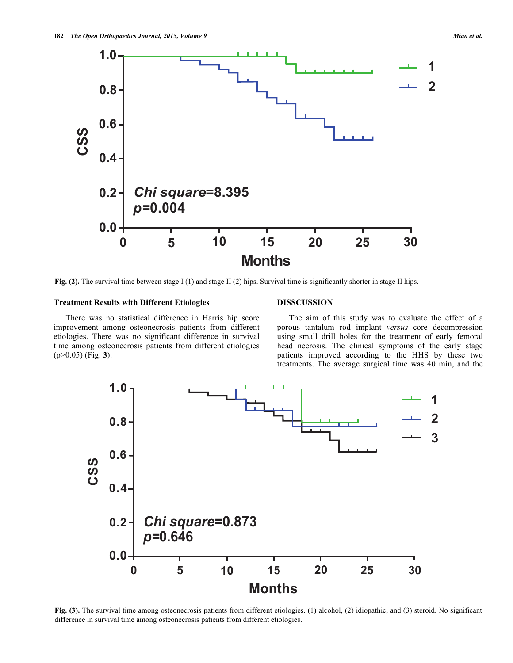

**Fig. (2).** The survival time between stage I (1) and stage II (2) hips. Survival time is significantly shorter in stage II hips.

## **Treatment Results with Different Etiologies**

There was no statistical difference in Harris hip score improvement among osteonecrosis patients from different etiologies. There was no significant difference in survival time among osteonecrosis patients from different etiologies (p>0.05) (Fig. **3**).

#### **DISSCUSSION**

The aim of this study was to evaluate the effect of a porous tantalum rod implant *versus* core decompression using small drill holes for the treatment of early femoral head necrosis. The clinical symptoms of the early stage patients improved according to the HHS by these two treatments. The average surgical time was 40 min, and the



**Fig. (3).** The survival time among osteonecrosis patients from different etiologies. (1) alcohol, (2) idiopathic, and (3) steroid. No significant difference in survival time among osteonecrosis patients from different etiologies.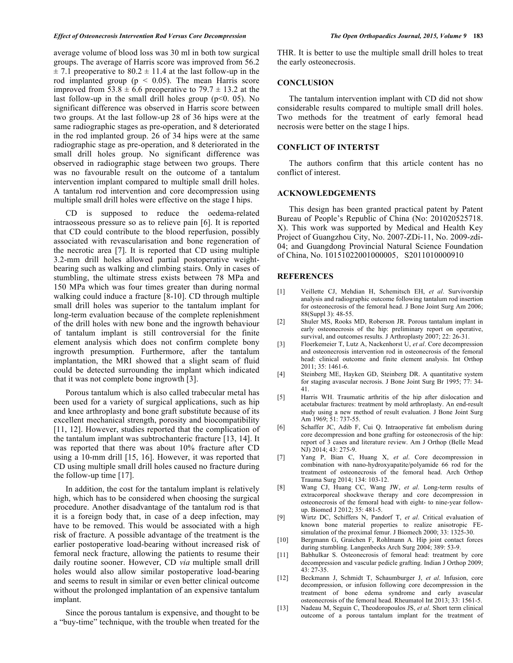#### *Effect of Osteonecrosis Intervention Rod Versus Core Decompression The Open Orthopaedics Journal, 2015, Volume 9* **183**

average volume of blood loss was 30 ml in both tow surgical groups. The average of Harris score was improved from 56.2  $\pm$  7.1 preoperative to 80.2  $\pm$  11.4 at the last follow-up in the rod implanted group ( $p \le 0.05$ ). The mean Harris score improved from  $53.8 \pm 6.6$  preoperative to  $79.7 \pm 13.2$  at the last follow-up in the small drill holes group ( $p<0$ . 05). No significant difference was observed in Harris score between two groups. At the last follow-up 28 of 36 hips were at the same radiographic stages as pre-operation, and 8 deteriorated in the rod implanted group. 26 of 34 hips were at the same radiographic stage as pre-operation, and 8 deteriorated in the small drill holes group. No significant difference was observed in radiographic stage between two groups. There was no favourable result on the outcome of a tantalum intervention implant compared to multiple small drill holes. A tantalum rod intervention and core decompression using multiple small drill holes were effective on the stage I hips.

CD is supposed to reduce the oedema-related intraosseous pressure so as to relieve pain [6]. It is reported that CD could contribute to the blood reperfusion, possibly associated with revascularisation and bone regeneration of the necrotic area [7]. It is reported that CD using multiple 3.2-mm drill holes allowed partial postoperative weightbearing such as walking and climbing stairs. Only in cases of stumbling, the ultimate stress exists between 78 MPa and 150 MPa which was four times greater than during normal walking could induce a fracture [8-10]. CD through multiple small drill holes was superior to the tantalum implant for long-term evaluation because of the complete replenishment of the drill holes with new bone and the ingrowth behaviour of tantalum implant is still controversial for the finite element analysis which does not confirm complete bony ingrowth presumption. Furthermore, after the tantalum implantation, the MRI showed that a slight seam of fluid could be detected surrounding the implant which indicated that it was not complete bone ingrowth [3].

Porous tantalum which is also called trabecular metal has been used for a variety of surgical applications, such as hip and knee arthroplasty and bone graft substitute because of its excellent mechanical strength, porosity and biocompatibility [11, 12]. However, studies reported that the complication of the tantalum implant was subtrochanteric fracture [13, 14]. It was reported that there was about 10% fracture after CD using a 10-mm drill [15, 16]. However, it was reported that CD using multiple small drill holes caused no fracture during the follow-up time [17].

In addition, the cost for the tantalum implant is relatively high, which has to be considered when choosing the surgical procedure. Another disadvantage of the tantalum rod is that it is a foreign body that, in case of a deep infection, may have to be removed. This would be associated with a high risk of fracture. A possible advantage of the treatment is the earlier postoperative load-bearing without increased risk of femoral neck fracture, allowing the patients to resume their daily routine sooner. However, CD *via* multiple small drill holes would also allow similar postoperative load-bearing and seems to result in similar or even better clinical outcome without the prolonged implantation of an expensive tantalum implant.

Since the porous tantalum is expensive, and thought to be a "buy-time" technique, with the trouble when treated for the THR. It is better to use the multiple small drill holes to treat the early osteonecrosis.

#### **CONCLUSION**

The tantalum intervention implant with CD did not show considerable results compared to multiple small drill holes. Two methods for the treatment of early femoral head necrosis were better on the stage I hips.

### **CONFLICT OF INTERTST**

The authors confirm that this article content has no conflict of interest.

#### **ACKNOWLEDGEMENTS**

This design has been granted practical patent by Patent Bureau of People's Republic of China (No: 201020525718. X). This work was supported by Medical and Health Key Project of Guangzhou City, No. 2007-ZDi-11, No. 2009-zdi-04; and Guangdong Provincial Natural Science Foundation of China, No. 10151022001000005, S2011010000910

## **REFERENCES**

- [1] Veillette CJ, Mehdian H, Schemitsch EH, *et al*. Survivorship analysis and radiographic outcome following tantalum rod insertion for osteonecrosis of the femoral head. J Bone Joint Surg Am 2006; 88(Suppl 3): 48-55.
- [2] Shuler MS, Rooks MD, Roberson JR. Porous tantalum implant in early osteonecrosis of the hip: preliminary report on operative, survival, and outcomes results. J Arthroplasty 2007; 22: 26-31.
- [3] Floerkemeier T, Lutz A, Nackenhorst U, *et al*. Core decompression and osteonecrosis intervention rod in osteonecrosis of the femoral head: clinical outcome and finite element analysis. Int Orthop 2011; 35: 1461-6.
- [4] Steinberg ME, Hayken GD, Steinberg DR. A quantitative system for staging avascular necrosis. J Bone Joint Surg Br 1995; 77: 34- 41.
- [5] Harris WH. Traumatic arthritis of the hip after dislocation and acetabular fractures: treatment by mold arthroplasty. An end-result study using a new method of result evaluation. J Bone Joint Surg Am 1969; 51: 737-55.
- [6] Schaffer JC, Adib F, Cui Q. Intraoperative fat embolism during core decompression and bone grafting for osteonecrosis of the hip: report of 3 cases and literature review. Am J Orthop (Belle Mead NJ) 2014; 43: 275-9.
- [7] Yang P, Bian C, Huang X, *et al*. Core decompression in combination with nano-hydroxyapatite/polyamide 66 rod for the treatment of osteonecrosis of the femoral head. Arch Orthop Trauma Surg 2014; 134: 103-12.
- [8] Wang CJ, Huang CC, Wang JW, *et al*. Long-term results of extracorporeal shockwave therapy and core decompression in osteonecrosis of the femoral head with eight- to nine-year followup. Biomed J 2012; 35: 481-5.
- [9] Wirtz DC, Schiffers N, Pandorf T, *et al*. Critical evaluation of known bone material properties to realize anisotropic FEsimulation of the proximal femur. J Biomech 2000; 33: 1325-30.
- [10] Bergmann G, Graichen F, Rohlmann A. Hip joint contact forces during stumbling. Langenbecks Arch Surg 2004; 389: 53-9.
- [11] Babhulkar S. Osteonecrosis of femoral head: treatment by core decompression and vascular pedicle grafting. Indian J Orthop 2009; 43: 27-35.
- [12] Beckmann J, Schmidt T, Schaumburger J, *et al*. Infusion, core decompression, or infusion following core decompression in the treatment of bone edema syndrome and early avascular osteonecrosis of the femoral head. Rheumatol Int 2013; 33: 1561-5.
- [13] Nadeau M, Seguin C, Theodoropoulos JS, *et al*. Short term clinical outcome of a porous tantalum implant for the treatment of